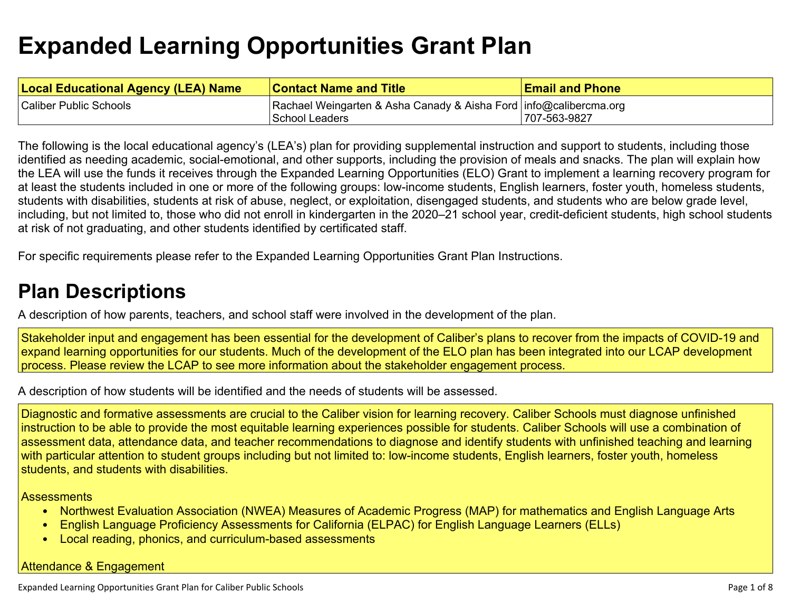# **Expanded Learning [Opportunities](#page-4-0) Grant Plan**

| <b>Local Educational Agency (LEA) Name</b> | <b>Contact Name and Title</b>                                     | <b>Email and Phone</b> |
|--------------------------------------------|-------------------------------------------------------------------|------------------------|
| Caliber Public Schools                     | Rachael Weingarten & Asha Canady & Aisha Ford info@calibercma.org |                        |
|                                            | School Leaders                                                    | 707-563-9827           |

The following is the local educational agency's (LEA's) plan for providing supplemental instruction and support to students, including those identified as needing academic, social-emotional, and other supports, including the provision of meals and snacks. The plan will explain how the LEA will use the funds it receives through the Expanded Learning Opportunities (ELO) Grant to implement a learning recovery program for at least the students included in one or more of the following groups: low-income students, English learners, foster youth, homeless students, students with disabilities, students at risk of abuse, neglect, or exploitation, disengaged students, and students who are below grade level, including, but not limited to, those who did not enroll in kindergarten in the 2020–21 school year, credit-deficient students, high school students at risk of not graduating, and other students identified by certificated staff.

For specific requirements please refer to the Expanded Learning Opportunities Grant Plan Instructions.

# **Plan [Descriptions](#page-6-0)**

A description of how parents, teachers, and school staff were involved in the [development](#page-6-1) of the plan.

Stakeholder input and engagement has been essential for the development of Caliber's plans to recover from the impacts of COVID-19 and expand learning opportunities for our students. Much of the development of the ELO plan has been integrated into our LCAP development process. Please review the LCAP to see more information about the stakeholder engagement process.

A [description](#page-6-2) of how students will be identified and the needs of students will be assessed[.](#page-6-2)

Diagnostic and formative assessments are crucial to the Caliber vision for learning recovery. Caliber Schools must diagnose unfinished instruction to be able to provide the most equitable learning experiences possible for students. Caliber Schools will use a combination of assessment data, attendance data, and teacher recommendations to diagnose and identify students with unfinished teaching and learning with particular attention to student groups including but not limited to: low-income students, English learners, foster youth, homeless students, and students with disabilities.

**Assessments** 

- Northwest Evaluation Association (NWEA) Measures of Academic Progress (MAP) for mathematics and English Language Arts
- English Language Proficiency Assessments for California (ELPAC) for English Language Learners (ELLs)
- Local reading, phonics, and curriculum-based assessments

### Attendance & Engagement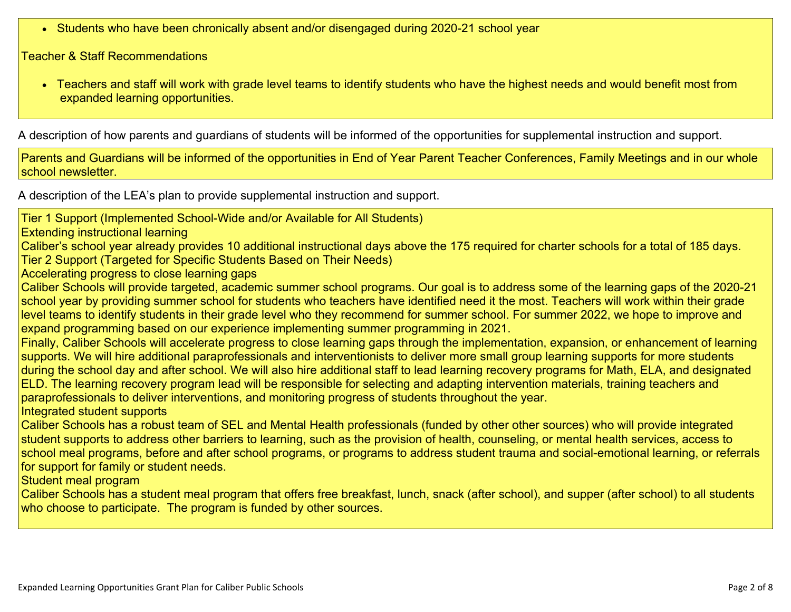Students who have been chronically absent and/or disengaged during 2020-21 school year

Teacher & Staff Recommendations

 Teachers and staff will work with grade level teams to identify students who have the highest needs and would benefit most from expanded learning opportunities.

A description of how parents and guardians of students will be informed of the opportunities for [supplemental](#page-6-3) instruction and support[.](#page-6-3)

Parents and Guardians will be informed of the opportunities in End of Year Parent Teacher Conferences, Family Meetings and in our whole school newsletter.

A description of the LEA's plan to provide [supplemental](#page-6-4) instruction and support[.](#page-6-4)

Tier 1 Support (Implemented School-Wide and/or Available for All Students)

Extending instructional learning

Caliber's school year already provides 10 additional instructional days above the 175 required for charter schools for a total of 185 days. Tier 2 Support (Targeted for Specific Students Based on Their Needs)

Accelerating progress to close learning gaps

Caliber Schools will provide targeted, academic summer school programs. Our goal is to address some of the learning gaps of the 2020-21 school year by providing summer school for students who teachers have identified need it the most. Teachers will work within their grade level teams to identify students in their grade level who they recommend for summer school. For summer 2022, we hope to improve and expand programming based on our experience implementing summer programming in 2021.

Finally, Caliber Schools will accelerate progress to close learning gaps through the implementation, expansion, or enhancement of learning supports. We will hire additional paraprofessionals and interventionists to deliver more small group learning supports for more students during the school day and after school. We will also hire additional staff to lead learning recovery programs for Math, ELA, and designated ELD. The learning recovery program lead will be responsible for selecting and adapting intervention materials, training teachers and paraprofessionals to deliver interventions, and monitoring progress of students throughout the year.

Integrated student supports

Caliber Schools has a robust team of SEL and Mental Health professionals (funded by other other sources) who will provide integrated student supports to address other barriers to learning, such as the provision of health, counseling, or mental health services, access to school meal programs, before and after school programs, or programs to address student trauma and social-emotional learning, or referrals for support for family or student needs.

Student meal program

Caliber Schools has a student meal program that offers free breakfast, lunch, snack (after school), and supper (after school) to all students who choose to participate. The program is funded by other sources.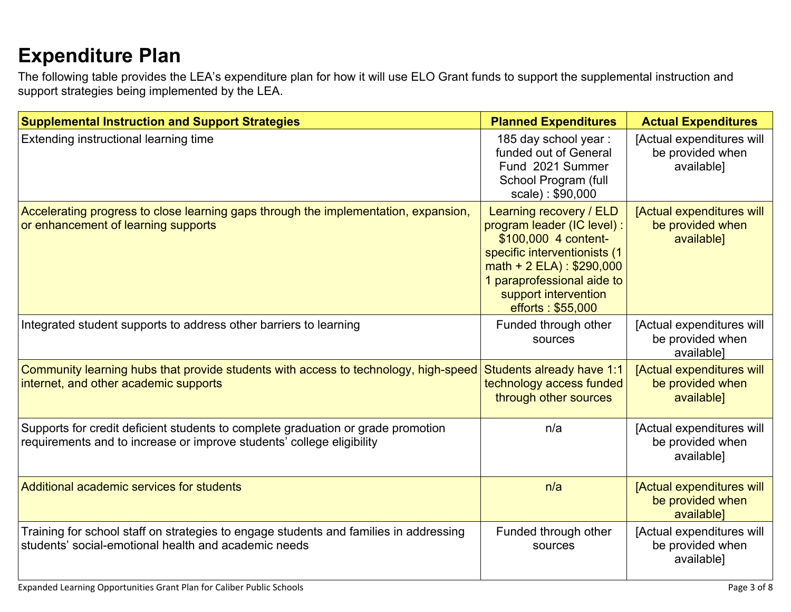# **[Expenditure](#page-7-0) Pla[n](#page-7-0)**

The following table provides the LEA's expenditure plan for how it will use ELO Grant funds to support the supplemental instruction and support strategies being implemented by the LEA.

| <b>Supplemental Instruction and Support Strategies</b>                                                                                                    | <b>Planned Expenditures</b>                                                                                                                                                                                              | <b>Actual Expenditures</b>                                  |
|-----------------------------------------------------------------------------------------------------------------------------------------------------------|--------------------------------------------------------------------------------------------------------------------------------------------------------------------------------------------------------------------------|-------------------------------------------------------------|
| Extending instructional learning time                                                                                                                     | 185 day school year:<br>funded out of General<br>Fund 2021 Summer<br>School Program (full<br>scale): \$90,000                                                                                                            | [Actual expenditures will<br>be provided when<br>available] |
| Accelerating progress to close learning gaps through the implementation, expansion,<br>or enhancement of learning supports                                | Learning recovery / ELD<br>program leader (IC level) :<br>\$100,000 4 content-<br>specific interventionists (1<br>math + $2$ ELA) : \$290,000<br>1 paraprofessional aide to<br>support intervention<br>efforts: \$55,000 | [Actual expenditures will<br>be provided when<br>available] |
| Integrated student supports to address other barriers to learning                                                                                         | Funded through other<br>sources                                                                                                                                                                                          | [Actual expenditures will<br>be provided when<br>available] |
| Community learning hubs that provide students with access to technology, high-speed<br>internet, and other academic supports                              | Students already have 1:1<br>technology access funded<br>through other sources                                                                                                                                           | [Actual expenditures will<br>be provided when<br>available] |
| Supports for credit deficient students to complete graduation or grade promotion<br>requirements and to increase or improve students' college eligibility | n/a                                                                                                                                                                                                                      | [Actual expenditures will<br>be provided when<br>available] |
| Additional academic services for students                                                                                                                 | n/a                                                                                                                                                                                                                      | [Actual expenditures will<br>be provided when<br>available] |
| Training for school staff on strategies to engage students and families in addressing<br>students' social-emotional health and academic needs             | Funded through other<br>sources                                                                                                                                                                                          | [Actual expenditures will<br>be provided when<br>available] |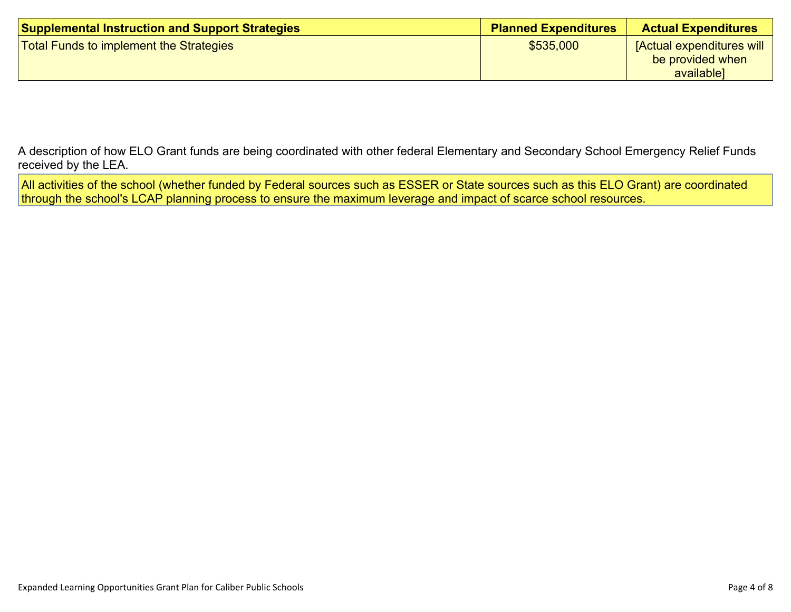| <b>Supplemental Instruction and Support Strategies</b> | <b>Planned Expenditures</b> | <b>Actual Expenditures</b>                                         |
|--------------------------------------------------------|-----------------------------|--------------------------------------------------------------------|
| Total Funds to implement the Strategies                | \$535,000                   | <b>[Actual expenditures will</b><br>be provided when<br>available] |

A description of how ELO Grant funds are being [coordinated](#page-7-1) with other federal Elementary and Secondary School Emergency Relief Funds [received](#page-7-1) by the LEA.

All activities of the school (whether funded by Federal sources such as ESSER or State sources such as this ELO Grant) are coordinated through the school's LCAP planning process to ensure the maximum leverage and impact of scarce school resources.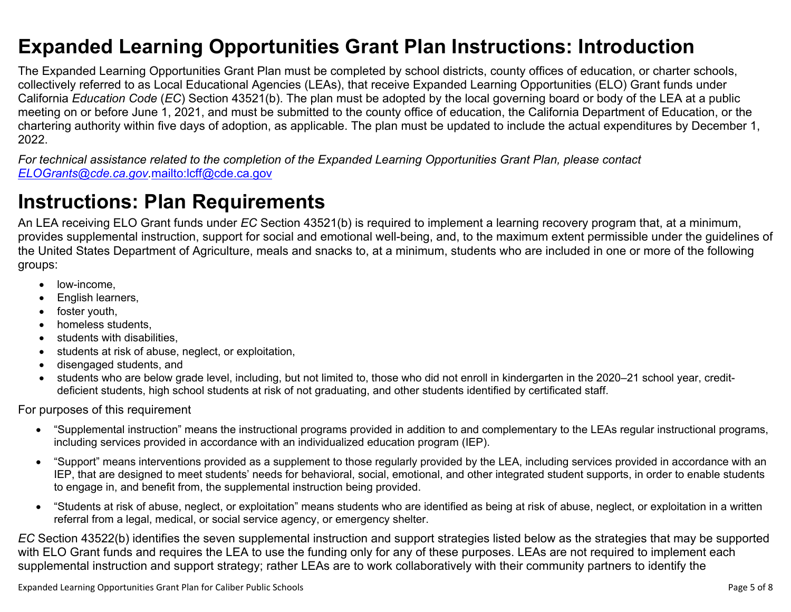### <span id="page-4-0"></span>**Expanded Learning Opportunities Grant Plan Instructions: Introduction**

The Expanded Learning Opportunities Grant Plan must be completed by school districts, county offices of education, or charter schools, collectively referred to as Local Educational Agencies (LEAs), that receive Expanded Learning Opportunities (ELO) Grant funds under California *Education Code* (*EC*) Section 43521(b). The plan must be adopted by the local governing board or body of the LEA at a public meeting on or before June 1, 2021, and must be submitted to the county office of education, the California Department of Education, or the chartering authority within five days of adoption, as applicable. The plan must be updated to include the actual expenditures by December 1, 2022.

For technical assistance related to the completion of the Expanded Learning Opportunities Grant Plan, please contact *[ELOGrants@cde.ca.gov](mailto:ELOGrants@cde.ca.gov).*<mailto:lcff@cde.ca.gov>

# **Instructions: Plan Requirements**

An LEA receiving ELO Grant funds under *EC* Section 43521(b) is required to implement a learning recovery program that, at a minimum, provides supplemental instruction, support for social and emotional well-being, and, to the maximum extent permissible under the guidelines of the United States Department of Agriculture, meals and snacks to, at a minimum, students who are included in one or more of the following groups:

- low-income.
- English learners,
- foster youth,
- homeless students,
- students with disabilities.
- students at risk of abuse, neglect, or exploitation,
- disengaged students, and
- students who are below grade level, including, but not limited to, those who did not enroll in kindergarten in the 2020–21 school year, creditdeficient students, high school students at risk of not graduating, and other students identified by certificated staff.

For purposes of this requirement

- "Supplemental instruction" means the instructional programs provided in addition to and complementary to the LEAs regular instructional programs, including services provided in accordance with an individualized education program (IEP).
- "Support" means interventions provided as a supplement to those regularly provided by the LEA, including services provided in accordance with an IEP, that are designed to meet students' needs for behavioral, social, emotional, and other integrated student supports, in order to enable students to engage in, and benefit from, the supplemental instruction being provided.
- "Students at risk of abuse, neglect, or exploitation" means students who are identified as being at risk of abuse, neglect, or exploitation in a written referral from a legal, medical, or social service agency, or emergency shelter.

*EC* Section 43522(b) identifies the seven supplemental instruction and support strategies listed below as the strategies that may be supported with ELO Grant funds and requires the LEA to use the funding only for any of these purposes. LEAs are not required to implement each supplemental instruction and support strategy; rather LEAs are to work collaboratively with their community partners to identify the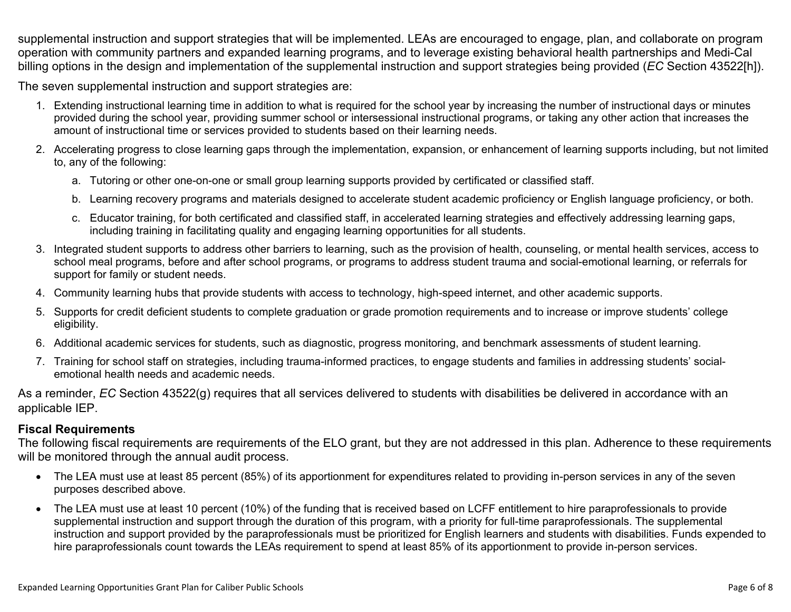supplemental instruction and support strategies that will be implemented. LEAs are encouraged to engage, plan, and collaborate on program operation with community partners and expanded learning programs, and to leverage existing behavioral health partnerships and Medi-Cal billing options in the design and implementation of the supplemental instruction and support strategies being provided (*EC* Section 43522[h]).

The seven supplemental instruction and support strategies are:

- 1. Extending instructional learning time in addition to what is required for the school year by increasing the number of instructional days or minutes provided during the school year, providing summer school or intersessional instructional programs, or taking any other action that increases the amount of instructional time or services provided to students based on their learning needs.
- 2. Accelerating progress to close learning gaps through the implementation, expansion, or enhancement of learning supports including, but not limited to, any of the following:
	- a. Tutoring or other one-on-one or small group learning supports provided by certificated or classified staff.
	- b. Learning recovery programs and materials designed to accelerate student academic proficiency or English language proficiency, or both.
	- c. Educator training, for both certificated and classified staff, in accelerated learning strategies and effectively addressing learning gaps, including training in facilitating quality and engaging learning opportunities for all students.
- 3. Integrated student supports to address other barriers to learning, such as the provision of health, counseling, or mental health services, access to school meal programs, before and after school programs, or programs to address student trauma and social-emotional learning, or referrals for support for family or student needs.
- 4. Community learning hubs that provide students with access to technology, high-speed internet, and other academic supports.
- 5. Supports for credit deficient students to complete graduation or grade promotion requirements and to increase or improve students' college eligibility.
- 6. Additional academic services for students, such as diagnostic, progress monitoring, and benchmark assessments of student learning.
- 7. Training for school staff on strategies, including trauma-informed practices, to engage students and families in addressing students' socialemotional health needs and academic needs.

As a reminder, *EC* Section 43522(g) requires that all services delivered to students with disabilities be delivered in accordance with an applicable IEP.

### **Fiscal Requirements**

The following fiscal requirements are requirements of the ELO grant, but they are not addressed in this plan. Adherence to these requirements will be monitored through the annual audit process.

- The LEA must use at least 85 percent (85%) of its apportionment for expenditures related to providing in-person services in any of the seven purposes described above.
- The LEA must use at least 10 percent (10%) of the funding that is received based on LCFF entitlement to hire paraprofessionals to provide supplemental instruction and support through the duration of this program, with a priority for full-time paraprofessionals. The supplemental instruction and support provided by the paraprofessionals must be prioritized for English learners and students with disabilities. Funds expended to hire paraprofessionals count towards the LEAs requirement to spend at least 85% of its apportionment to provide in-person services.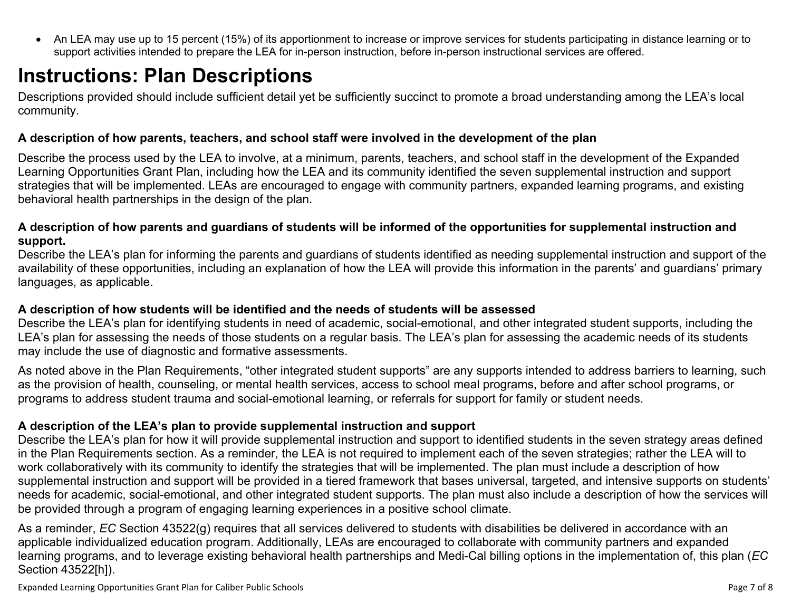<span id="page-6-0"></span> An LEA may use up to 15 percent (15%) of its apportionment to increase or improve services for students participating in distance learning or to support activities intended to prepare the LEA for in-person instruction, before in-person instructional services are offered.

# **Instructions: Plan Descriptions**

Descriptions provided should include sufficient detail yet be sufficiently succinct to promote a broad understanding among the LEA's local community.

### <span id="page-6-1"></span>**A description of how parents, teachers, and school staff were involved in the development of the plan**

Describe the process used by the LEA to involve, at a minimum, parents, teachers, and school staff in the development of the Expanded Learning Opportunities Grant Plan, including how the LEA and its community identified the seven supplemental instruction and support strategies that will be implemented. LEAs are encouraged to engage with community partners, expanded learning programs, and existing behavioral health partnerships in the design of the plan.

#### <span id="page-6-2"></span>A description of how parents and guardians of students will be informed of the opportunities for supplemental instruction and **support.**

Describe the LEA's plan for informing the parents and guardians of students identified as needing supplemental instruction and support of the availability of these opportunities, including an explanation of how the LEA will provide this information in the parents' and guardians' primary languages, as applicable.

### <span id="page-6-3"></span>**A description of how students will be identified and the needs of students will be assessed**

Describe the LEA's plan for identifying students in need of academic, social-emotional, and other integrated student supports, including the LEA's plan for assessing the needs of those students on a regular basis. The LEA's plan for assessing the academic needs of its students may include the use of diagnostic and formative assessments.

As noted above in the Plan Requirements, "other integrated student supports" are any supports intended to address barriers to learning, such as the provision of health, counseling, or mental health services, access to school meal programs, before and after school programs, or programs to address student trauma and social-emotional learning, or referrals for support for family or student needs.

### <span id="page-6-4"></span>**A description of the LEA's plan to provide supplemental instruction and support**

Describe the LEA's plan for how it will provide supplemental instruction and support to identified students in the seven strategy areas defined in the Plan Requirements section. As a reminder, the LEA is not required to implement each of the seven strategies; rather the LEA will to work collaboratively with its community to identify the strategies that will be implemented. The plan must include a description of how supplemental instruction and support will be provided in a tiered framework that bases universal, targeted, and intensive supports on students' needs for academic, social-emotional, and other integrated student supports. The plan must also include a description of how the services will be provided through a program of engaging learning experiences in a positive school climate.

As a reminder, *EC* Section 43522(g) requires that all services delivered to students with disabilities be delivered in accordance with an applicable individualized education program. Additionally, LEAs are encouraged to collaborate with community partners and expanded learning programs, and to leverage existing behavioral health partnerships and Medi-Cal billing options in the implementation of, this plan (*EC* Section 43522[h]).